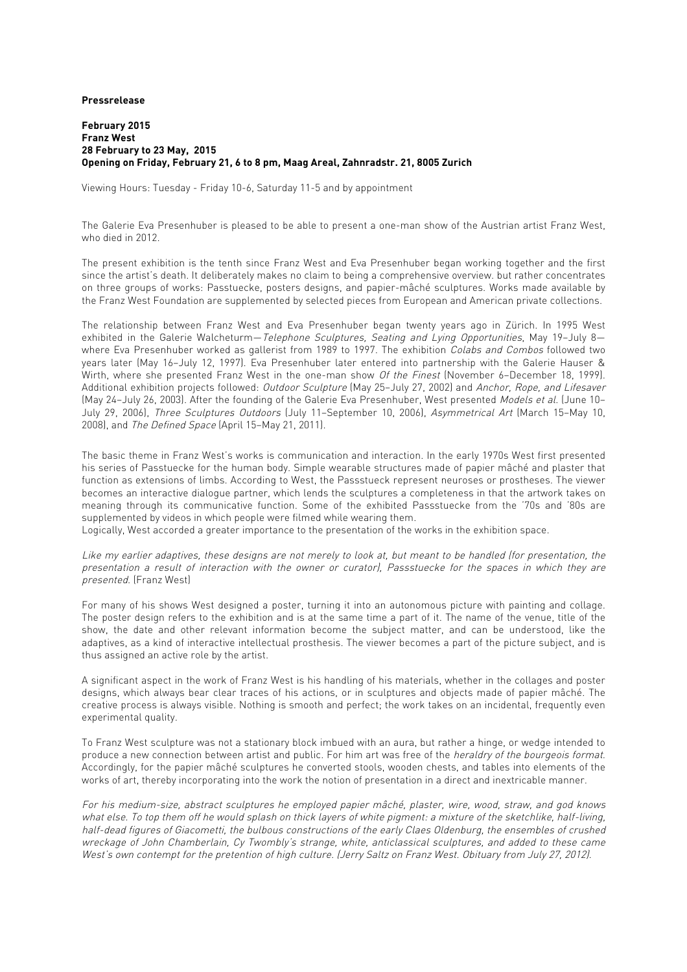**Pressrelease**

**February 2015 Franz West 28 February to 23 May, 2015 Opening on Friday, February 21, 6 to 8 pm, Maag Areal, Zahnradstr. 21, 8005 Zurich**

Viewing Hours: Tuesday - Friday 10-6, Saturday 11-5 and by appointment

The Galerie Eva Presenhuber is pleased to be able to present a one-man show of the Austrian artist Franz West, who died in 2012.

The present exhibition is the tenth since Franz West and Eva Presenhuber began working together and the first since the artist's death. It deliberately makes no claim to being a comprehensive overview. but rather concentrates on three groups of works: Passtuecke, posters designs, and papier-mâché sculptures. Works made available by the Franz West Foundation are supplemented by selected pieces from European and American private collections.

The relationship between Franz West and Eva Presenhuber began twenty years ago in Zürich. In 1995 West exhibited in the Galerie Walcheturm—Telephone Sculptures, Seating and Lying Opportunities, May 19-July 8where Eva Presenhuber worked as gallerist from 1989 to 1997. The exhibition Colabs and Combos followed two years later (May 16–July 12, 1997). Eva Presenhuber later entered into partnership with the Galerie Hauser & Wirth, where she presented Franz West in the one-man show Of the Finest (November 6-December 18, 1999). Additional exhibition projects followed: Outdoor Sculpture (May 25–July 27, 2002) and Anchor, Rope, and Lifesaver (May 24–July 26, 2003). After the founding of the Galerie Eva Presenhuber, West presented Models et al. (June 10– July 29, 2006), Three Sculptures Outdoors (July 11–September 10, 2006), Asymmetrical Art (March 15–May 10, 2008), and The Defined Space (April 15–May 21, 2011).

The basic theme in Franz West's works is communication and interaction. In the early 1970s West first presented his series of Passtuecke for the human body. Simple wearable structures made of papier mâché and plaster that function as extensions of limbs. According to West, the Passstueck represent neuroses or prostheses. The viewer becomes an interactive dialogue partner, which lends the sculptures a completeness in that the artwork takes on meaning through its communicative function. Some of the exhibited Passstuecke from the '70s and '80s are supplemented by videos in which people were filmed while wearing them.

Logically, West accorded a greater importance to the presentation of the works in the exhibition space.

Like my earlier adaptives, these designs are not merely to look at, but meant to be handled (for presentation, the presentation a result of interaction with the owner or curator), Passstuecke for the spaces in which they are presented. (Franz West)

For many of his shows West designed a poster, turning it into an autonomous picture with painting and collage. The poster design refers to the exhibition and is at the same time a part of it. The name of the venue, title of the show, the date and other relevant information become the subject matter, and can be understood, like the adaptives, as a kind of interactive intellectual prosthesis. The viewer becomes a part of the picture subject, and is thus assigned an active role by the artist.

A significant aspect in the work of Franz West is his handling of his materials, whether in the collages and poster designs, which always bear clear traces of his actions, or in sculptures and objects made of papier mâché. The creative process is always visible. Nothing is smooth and perfect; the work takes on an incidental, frequently even experimental quality.

To Franz West sculpture was not a stationary block imbued with an aura, but rather a hinge, or wedge intended to produce a new connection between artist and public. For him art was free of the *heraldry of the bourgeois format.* Accordingly, for the papier mâché sculptures he converted stools, wooden chests, and tables into elements of the works of art, thereby incorporating into the work the notion of presentation in a direct and inextricable manner.

For his medium-size, abstract sculptures he employed papier mâché, plaster, wire, wood, straw, and god knows what else. To top them off he would splash on thick layers of white pigment: a mixture of the sketchlike, half-living, half-dead figures of Giacometti, the bulbous constructions of the early Claes Oldenburg, the ensembles of crushed wreckage of John Chamberlain, Cy Twombly's strange, white, anticlassical sculptures, and added to these came West's own contempt for the pretention of high culture. (Jerry Saltz on Franz West. Obituary from July 27, 2012).